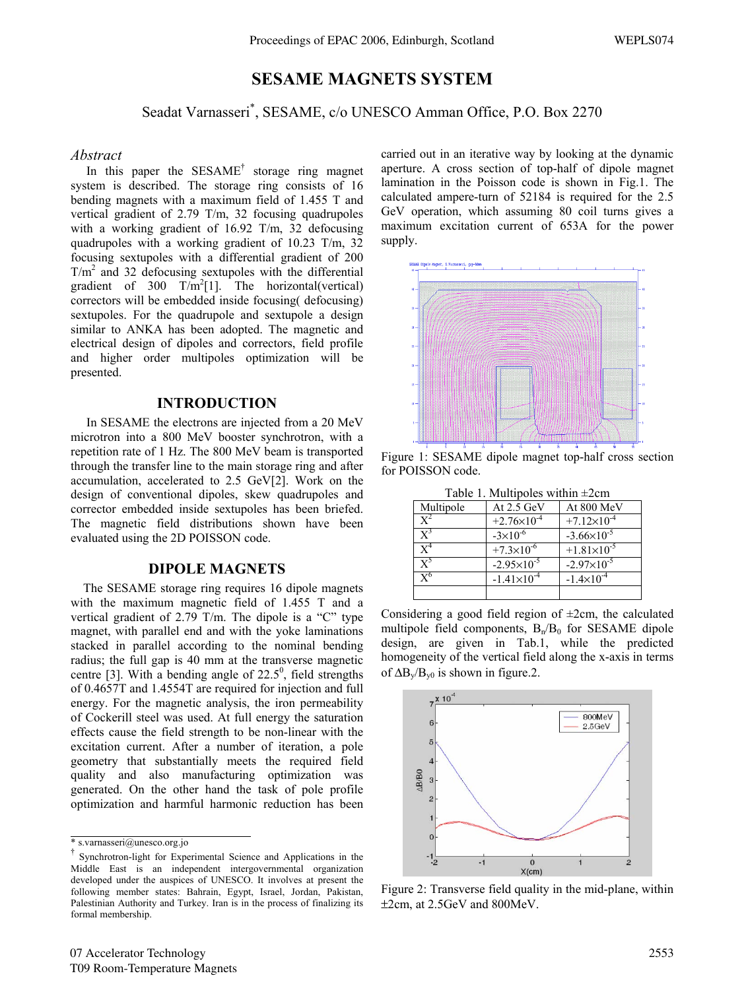# **SESAME MAGNETS SYSTEM**

# Seadat Varnasseri\* , SESAME, c/o UNESCO Amman Office, P.O. Box 2270

#### *Abstract*

In this paper the SESAME<sup>†</sup> storage ring magnet system is described. The storage ring consists of 16 bending magnets with a maximum field of 1.455 T and vertical gradient of 2.79 T/m, 32 focusing quadrupoles with a working gradient of 16.92 T/m, 32 defocusing quadrupoles with a working gradient of 10.23 T/m, 32 focusing sextupoles with a differential gradient of 200  $T/m<sup>2</sup>$  and 32 defocusing sextupoles with the differential gradient of  $300 \text{ T/m}^2[1]$ . The horizontal(vertical) correctors will be embedded inside focusing( defocusing) sextupoles. For the quadrupole and sextupole a design similar to ANKA has been adopted. The magnetic and electrical design of dipoles and correctors, field profile and higher order multipoles optimization will be presented.

## **INTRODUCTION**

 In SESAME the electrons are injected from a 20 MeV microtron into a 800 MeV booster synchrotron, with a repetition rate of 1 Hz. The 800 MeV beam is transported through the transfer line to the main storage ring and after accumulation, accelerated to 2.5 GeV[2]. Work on the design of conventional dipoles, skew quadrupoles and corrector embedded inside sextupoles has been briefed. The magnetic field distributions shown have been evaluated using the 2D POISSON code.

### **DIPOLE MAGNETS**

 The SESAME storage ring requires 16 dipole magnets with the maximum magnetic field of 1.455 T and a vertical gradient of 2.79 T/m. The dipole is a "C" type magnet, with parallel end and with the yoke laminations stacked in parallel according to the nominal bending radius; the full gap is 40 mm at the transverse magnetic centre [3]. With a bending angle of  $22.5^\circ$ , field strengths of 0.4657T and 1.4554T are required for injection and full energy. For the magnetic analysis, the iron permeability of Cockerill steel was used. At full energy the saturation effects cause the field strength to be non-linear with the excitation current. After a number of iteration, a pole geometry that substantially meets the required field quality and also manufacturing optimization was generated. On the other hand the task of pole profile optimization and harmful harmonic reduction has been

carried out in an iterative way by looking at the dynamic aperture. A cross section of top-half of dipole magnet lamination in the Poisson code is shown in Fig.1. The calculated ampere-turn of 52184 is required for the 2.5 GeV operation, which assuming 80 coil turns gives a maximum excitation current of 653A for the power supply.



Figure 1: SESAME dipole magnet top-half cross section for POISSON code.

| Table 1. Multipoles within $\pm 2$ cm |  |
|---------------------------------------|--|
|---------------------------------------|--|

| Multipole      | At 2.5 GeV             | At 800 MeV             |
|----------------|------------------------|------------------------|
| $\mathbf{Y}^2$ | $+2.76\times10^{-4}$   | $+7.12\times10^{-4}$   |
| $X^3$          | $-3\times10^{-6}$      | $-3.66 \times 10^{-5}$ |
| $\mathbf{Y}^4$ | $+7.3\times10^{-6}$    | $+1.81\times10^{-5}$   |
| $\mathbf{Y}^5$ | $-2.95\times10^{-5}$   | $-2.97\times10^{-5}$   |
| $\mathbf{v}^6$ | $-1.41 \times 10^{-4}$ | $-1.4 \times 10^{-4}$  |
|                |                        |                        |

Considering a good field region of  $\pm 2$ cm, the calculated multipole field components,  $B_n/B_0$  for SESAME dipole design, are given in Tab.1, while the predicted homogeneity of the vertical field along the x-axis in terms of  $\Delta B_v/B_{v0}$  is shown in figure.2.



Figure 2: Transverse field quality in the mid-plane, within ±2cm, at 2.5GeV and 800MeV.

<sup>\*</sup> s.varnasseri@unesco.org.jo

<sup>†</sup> Synchrotron-light for Experimental Science and Applications in the Middle East is an independent intergovernmental organization developed under the auspices of UNESCO. It involves at present the following member states: Bahrain, Egypt, Israel, Jordan, Pakistan, Palestinian Authority and Turkey. Iran is in the process of finalizing its formal membership.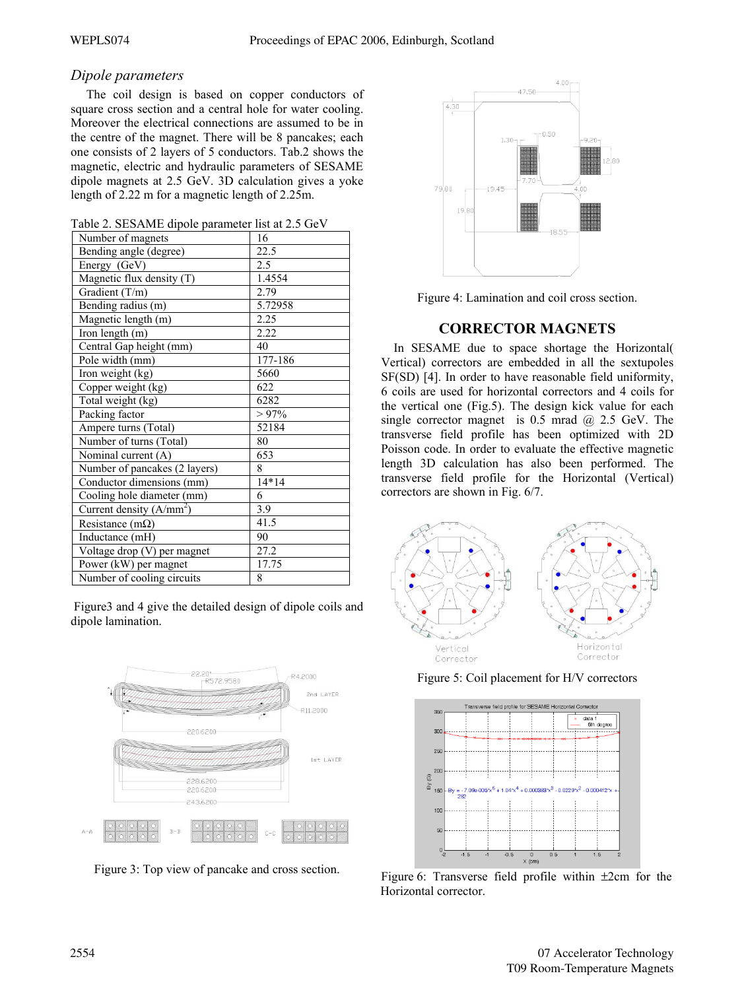## *Dipole parameters*

 The coil design is based on copper conductors of square cross section and a central hole for water cooling. Moreover the electrical connections are assumed to be in the centre of the magnet. There will be 8 pancakes; each one consists of 2 layers of 5 conductors. Tab.2 shows the magnetic, electric and hydraulic parameters of SESAME dipole magnets at 2.5 GeV. 3D calculation gives a yoke length of 2.22 m for a magnetic length of 2.25m.

|  | Table 2. SESAME dipole parameter list at 2.5 GeV |  |  |  |  |  |
|--|--------------------------------------------------|--|--|--|--|--|
|--|--------------------------------------------------|--|--|--|--|--|

| Number of magnets             | 16       |
|-------------------------------|----------|
| Bending angle (degree)        | 22.5     |
| Energy (GeV)                  | 2.5      |
| Magnetic flux density (T)     | 1.4554   |
| Gradient (T/m)                | 2.79     |
| Bending radius (m)            | 5.72958  |
| Magnetic length (m)           | 2.25     |
| Iron length (m)               | 2.22     |
| Central Gap height (mm)       | 40       |
| Pole width (mm)               | 177-186  |
| Iron weight (kg)              | 5660     |
| Copper weight (kg)            | 622      |
| Total weight (kg)             | 6282     |
| Packing factor                | $> 97\%$ |
| Ampere turns (Total)          | 52184    |
| Number of turns (Total)       | 80       |
| Nominal current (A)           | 653      |
| Number of pancakes (2 layers) | 8        |
| Conductor dimensions (mm)     | $14*14$  |
| Cooling hole diameter (mm)    | 6        |
| Current density $(A/mm^2)$    | 3.9      |
| Resistance (m $\Omega$ )      | 41.5     |
| Inductance (mH)               | 90       |
| Voltage drop (V) per magnet   | 27.2     |
| Power (kW) per magnet         | 17.75    |
| Number of cooling circuits    | 8        |

 Figure3 and 4 give the detailed design of dipole coils and dipole lamination.







Figure 4: Lamination and coil cross section.

# **CORRECTOR MAGNETS**

 In SESAME due to space shortage the Horizontal( Vertical) correctors are embedded in all the sextupoles SF(SD) [4]. In order to have reasonable field uniformity, 6 coils are used for horizontal correctors and 4 coils for the vertical one (Fig.5). The design kick value for each single corrector magnet is  $0.5$  mrad  $\omega$  2.5 GeV. The transverse field profile has been optimized with 2D Poisson code. In order to evaluate the effective magnetic length 3D calculation has also been performed. The transverse field profile for the Horizontal (Vertical) correctors are shown in Fig. 6/7.



Figure 5: Coil placement for H/V correctors



Horizontal corrector. Figure 6: Transverse field profile within ±2cm for the